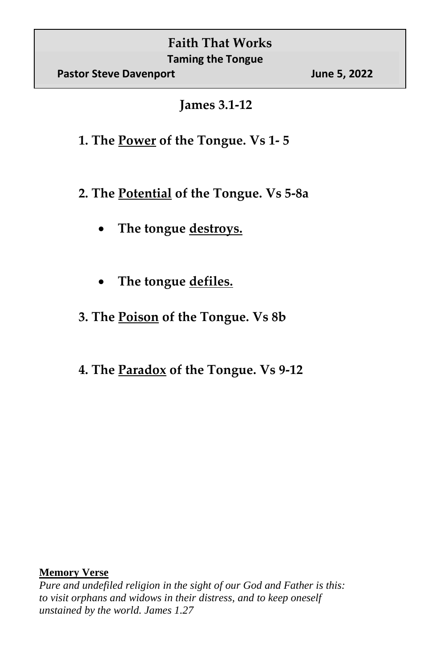**James 3.1-12**

- **1. The Power of the Tongue. Vs 1- 5**
- **2. The Potential of the Tongue. Vs 5-8a**
	- **The tongue destroys.**
	- **The tongue defiles.**
- **3. The Poison of the Tongue. Vs 8b**
- **4. The Paradox of the Tongue. Vs 9-12**

## **Memory Verse**

*Pure and undefiled religion in the sight of our God and Father is this: to visit orphans and widows in their distress, and to keep oneself unstained by the world. James 1.27*